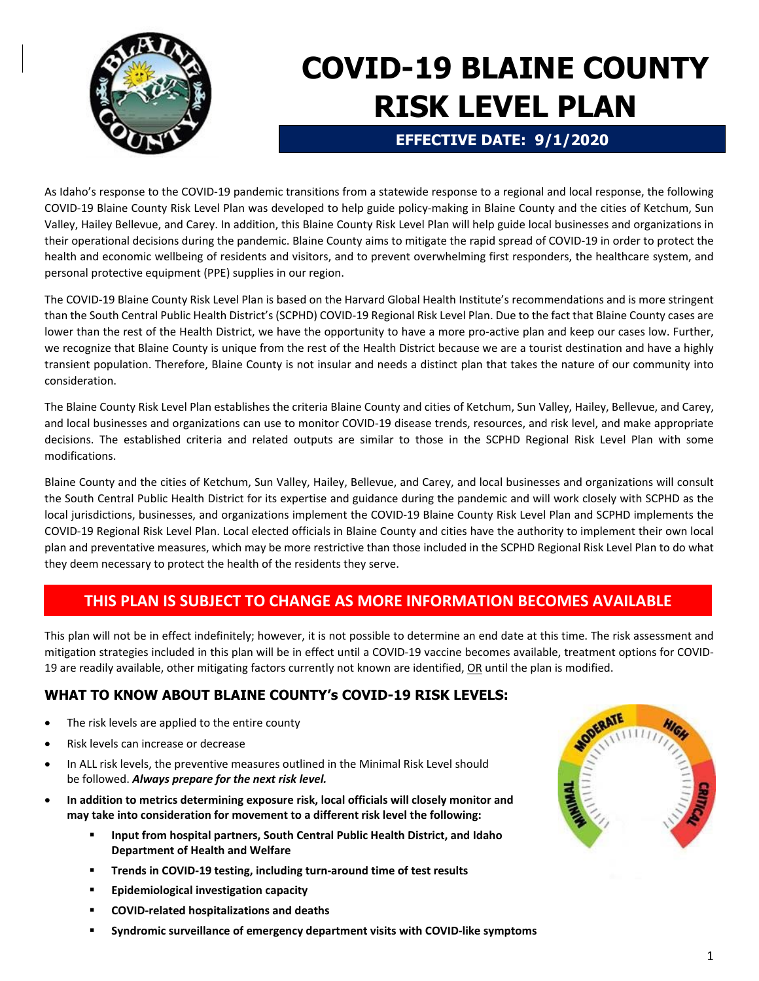

# **COVID-19 BLAINE COUNTY RISK LEVEL PLAN**

## **EFFECTIVE DATE: 9/1/2020**

As Idaho's response to the COVID‐19 pandemic transitions from a statewide response to a regional and local response, the following COVID‐19 Blaine County Risk Level Plan was developed to help guide policy‐making in Blaine County and the cities of Ketchum, Sun Valley, Hailey Bellevue, and Carey. In addition, this Blaine County Risk Level Plan will help guide local businesses and organizations in their operational decisions during the pandemic. Blaine County aims to mitigate the rapid spread of COVID‐19 in order to protect the health and economic wellbeing of residents and visitors, and to prevent overwhelming first responders, the healthcare system, and personal protective equipment (PPE) supplies in our region.

The COVID‐19 Blaine County Risk Level Plan is based on the Harvard Global Health Institute's recommendations and is more stringent than the South Central Public Health District's (SCPHD) COVID‐19 Regional Risk Level Plan. Due to the fact that Blaine County cases are lower than the rest of the Health District, we have the opportunity to have a more pro-active plan and keep our cases low. Further, we recognize that Blaine County is unique from the rest of the Health District because we are a tourist destination and have a highly transient population. Therefore, Blaine County is not insular and needs a distinct plan that takes the nature of our community into consideration.

The Blaine County Risk Level Plan establishes the criteria Blaine County and cities of Ketchum, Sun Valley, Hailey, Bellevue, and Carey, and local businesses and organizations can use to monitor COVID‐19 disease trends, resources, and risk level, and make appropriate decisions. The established criteria and related outputs are similar to those in the SCPHD Regional Risk Level Plan with some modifications.

Blaine County and the cities of Ketchum, Sun Valley, Hailey, Bellevue, and Carey, and local businesses and organizations will consult the South Central Public Health District for its expertise and guidance during the pandemic and will work closely with SCPHD as the local jurisdictions, businesses, and organizations implement the COVID‐19 Blaine County Risk Level Plan and SCPHD implements the COVID‐19 Regional Risk Level Plan. Local elected officials in Blaine County and cities have the authority to implement their own local plan and preventative measures, which may be more restrictive than those included in the SCPHD Regional Risk Level Plan to do what they deem necessary to protect the health of the residents they serve.

# **THIS PLAN IS SUBJECT TO CHANGE AS MORE INFORMATION BECOMES AVAILABLE**

This plan will not be in effect indefinitely; however, it is not possible to determine an end date at this time. The risk assessment and mitigation strategies included in this plan will be in effect until a COVID‐19 vaccine becomes available, treatment options for COVID‐ 19 are readily available, other mitigating factors currently not known are identified, OR until the plan is modified.

# **WHAT TO KNOW ABOUT BLAINE COUNTY's COVID-19 RISK LEVELS:**

- The risk levels are applied to the entire county
- Risk levels can increase or decrease
- In ALL risk levels, the preventive measures outlined in the Minimal Risk Level should be followed. *Always prepare for the next risk level.*
- **In addition to metrics determining exposure risk, local officials will closely monitor and may take into consideration for movement to a different risk level the following:** 
	- **Input from hospital partners, South Central Public Health District, and Idaho Department of Health and Welfare**
	- **Trends in COVID‐19 testing, including turn‐around time of test results**
	- **Epidemiological investigation capacity**
	- **COVID‐related hospitalizations and deaths**
	- **Syndromic surveillance of emergency department visits with COVID‐like symptoms**

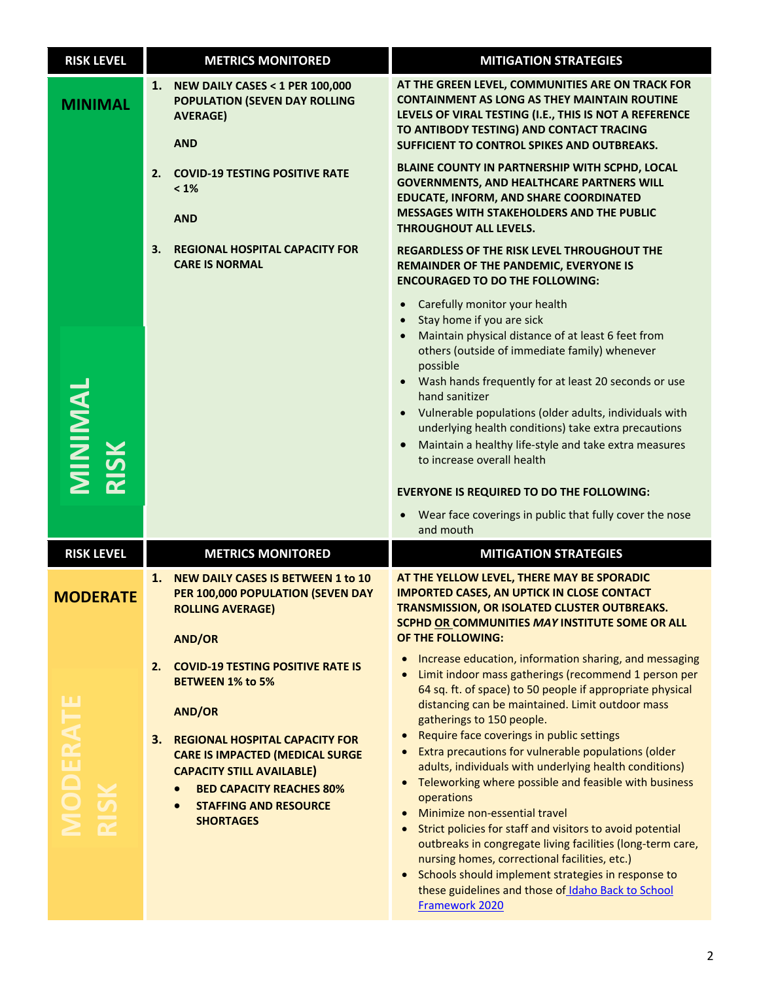| <b>RISK LEVEL</b>              | <b>METRICS MONITORED</b>                                                                                                                                                                                                                                                                                       | <b>MITIGATION STRATEGIES</b>                                                                                                                                                                                                                                                                                                                                                                                                                                                                                                                                                                                                                        |
|--------------------------------|----------------------------------------------------------------------------------------------------------------------------------------------------------------------------------------------------------------------------------------------------------------------------------------------------------------|-----------------------------------------------------------------------------------------------------------------------------------------------------------------------------------------------------------------------------------------------------------------------------------------------------------------------------------------------------------------------------------------------------------------------------------------------------------------------------------------------------------------------------------------------------------------------------------------------------------------------------------------------------|
| <b>MINIMAL</b>                 | <b>NEW DAILY CASES &lt; 1 PER 100,000</b><br>1.<br>POPULATION (SEVEN DAY ROLLING<br><b>AVERAGE)</b><br><b>AND</b>                                                                                                                                                                                              | AT THE GREEN LEVEL, COMMUNITIES ARE ON TRACK FOR<br><b>CONTAINMENT AS LONG AS THEY MAINTAIN ROUTINE</b><br>LEVELS OF VIRAL TESTING (I.E., THIS IS NOT A REFERENCE<br>TO ANTIBODY TESTING) AND CONTACT TRACING<br>SUFFICIENT TO CONTROL SPIKES AND OUTBREAKS.                                                                                                                                                                                                                                                                                                                                                                                        |
|                                | <b>COVID-19 TESTING POSITIVE RATE</b><br>2.<br>$< 1\%$<br><b>AND</b>                                                                                                                                                                                                                                           | BLAINE COUNTY IN PARTNERSHIP WITH SCPHD, LOCAL<br><b>GOVERNMENTS, AND HEALTHCARE PARTNERS WILL</b><br><b>EDUCATE, INFORM, AND SHARE COORDINATED</b><br><b>MESSAGES WITH STAKEHOLDERS AND THE PUBLIC</b><br><b>THROUGHOUT ALL LEVELS.</b>                                                                                                                                                                                                                                                                                                                                                                                                            |
|                                | <b>REGIONAL HOSPITAL CAPACITY FOR</b><br>З.<br><b>CARE IS NORMAL</b>                                                                                                                                                                                                                                           | REGARDLESS OF THE RISK LEVEL THROUGHOUT THE<br>REMAINDER OF THE PANDEMIC, EVERYONE IS<br><b>ENCOURAGED TO DO THE FOLLOWING:</b>                                                                                                                                                                                                                                                                                                                                                                                                                                                                                                                     |
| MINIMAL                        |                                                                                                                                                                                                                                                                                                                | Carefully monitor your health<br>Stay home if you are sick<br>$\bullet$<br>Maintain physical distance of at least 6 feet from<br>others (outside of immediate family) whenever<br>possible<br>• Wash hands frequently for at least 20 seconds or use<br>hand sanitizer<br>• Vulnerable populations (older adults, individuals with<br>underlying health conditions) take extra precautions<br>Maintain a healthy life-style and take extra measures<br>$\bullet$<br>to increase overall health                                                                                                                                                      |
|                                |                                                                                                                                                                                                                                                                                                                | <b>EVERYONE IS REQUIRED TO DO THE FOLLOWING:</b>                                                                                                                                                                                                                                                                                                                                                                                                                                                                                                                                                                                                    |
|                                |                                                                                                                                                                                                                                                                                                                | Wear face coverings in public that fully cover the nose<br>and mouth                                                                                                                                                                                                                                                                                                                                                                                                                                                                                                                                                                                |
| <b>RISK LEVEL</b>              | <b>METRICS MONITORED</b>                                                                                                                                                                                                                                                                                       | <b>MITIGATION STRATEGIES</b>                                                                                                                                                                                                                                                                                                                                                                                                                                                                                                                                                                                                                        |
| <b>MODERATE</b>                | 1.<br>NEW DAILY CASES IS BETWEEN 1 to 10<br>PER 100,000 POPULATION (SEVEN DAY<br><b>ROLLING AVERAGE)</b><br><b>AND/OR</b>                                                                                                                                                                                      | AT THE YELLOW LEVEL, THERE MAY BE SPORADIC<br><b>IMPORTED CASES, AN UPTICK IN CLOSE CONTACT</b><br><u>TRANSMISSION, OR ISOLATED CLUSTER OUTBREAKS.</u><br>SCPHD OR COMMUNITIES MAY INSTITUTE SOME OR ALL<br><b>OF THE FOLLOWING:</b>                                                                                                                                                                                                                                                                                                                                                                                                                |
| <b>MODERATE</b><br><b>RISK</b> | <b>COVID-19 TESTING POSITIVE RATE IS</b><br>2.<br><b>BETWEEN 1% to 5%</b><br><b>AND/OR</b><br><b>REGIONAL HOSPITAL CAPACITY FOR</b><br>З.<br><b>CARE IS IMPACTED (MEDICAL SURGE</b><br><b>CAPACITY STILL AVAILABLE)</b><br><b>BED CAPACITY REACHES 80%</b><br><b>STAFFING AND RESOURCE</b><br><b>SHORTAGES</b> | Increase education, information sharing, and messaging<br>Limit indoor mass gatherings (recommend 1 person per<br>$\bullet$<br>64 sq. ft. of space) to 50 people if appropriate physical<br>distancing can be maintained. Limit outdoor mass<br>gatherings to 150 people.<br>Require face coverings in public settings<br>$\bullet$<br>Extra precautions for vulnerable populations (older<br>$\bullet$<br>adults, individuals with underlying health conditions)<br>Teleworking where possible and feasible with business<br>$\bullet$<br>operations<br>Minimize non-essential travel<br>Strict policies for staff and visitors to avoid potential |
|                                |                                                                                                                                                                                                                                                                                                                | outbreaks in congregate living facilities (long-term care,<br>nursing homes, correctional facilities, etc.)<br>Schools should implement strategies in response to<br>these guidelines and those of Idaho Back to School<br>Framework 2020                                                                                                                                                                                                                                                                                                                                                                                                           |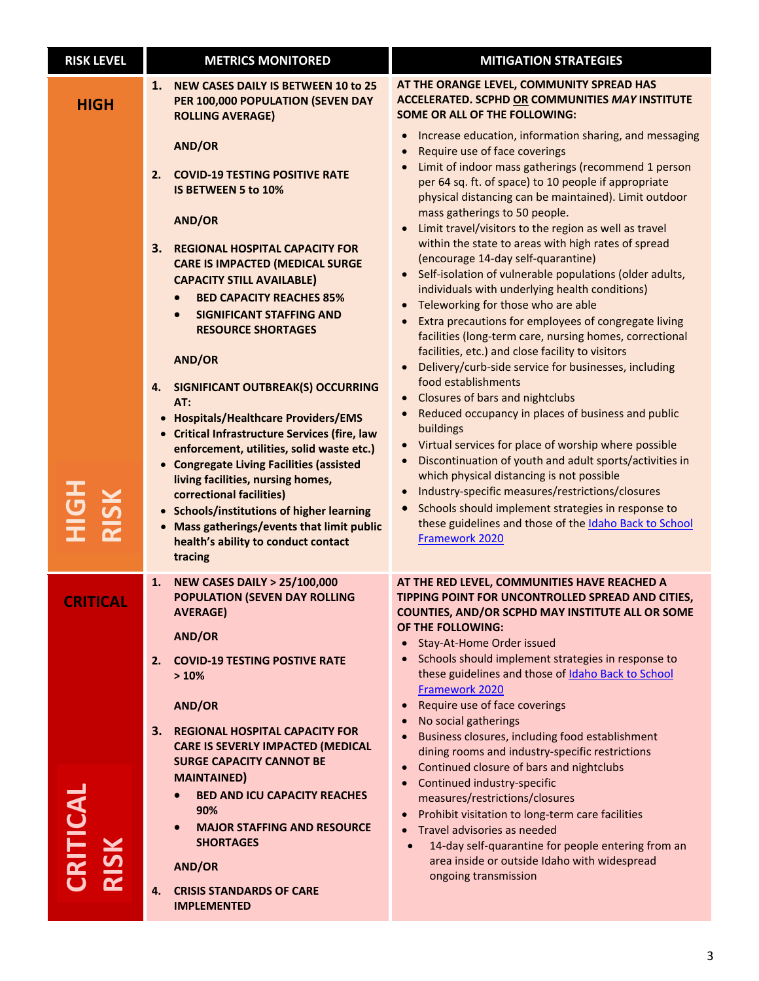| <b>RISK LEVEL</b> | <b>METRICS MONITORED</b>                                                                                                                                                                                                                                                                                                                                                                                                                                        | <b>MITIGATION STRATEGIES</b>                                                                                                                                                                                                                                                                                                                                                                                                                                                                                                                                             |
|-------------------|-----------------------------------------------------------------------------------------------------------------------------------------------------------------------------------------------------------------------------------------------------------------------------------------------------------------------------------------------------------------------------------------------------------------------------------------------------------------|--------------------------------------------------------------------------------------------------------------------------------------------------------------------------------------------------------------------------------------------------------------------------------------------------------------------------------------------------------------------------------------------------------------------------------------------------------------------------------------------------------------------------------------------------------------------------|
| <b>HIGH</b>       | 1.<br><b>NEW CASES DAILY IS BETWEEN 10 to 25</b><br>PER 100,000 POPULATION (SEVEN DAY<br><b>ROLLING AVERAGE)</b>                                                                                                                                                                                                                                                                                                                                                | AT THE ORANGE LEVEL, COMMUNITY SPREAD HAS<br><b>ACCELERATED. SCPHD OR COMMUNITIES MAY INSTITUTE</b><br><b>SOME OR ALL OF THE FOLLOWING:</b>                                                                                                                                                                                                                                                                                                                                                                                                                              |
|                   | <b>AND/OR</b><br>2.<br><b>COVID-19 TESTING POSITIVE RATE</b><br>IS BETWEEN 5 to 10%                                                                                                                                                                                                                                                                                                                                                                             | Increase education, information sharing, and messaging<br>Require use of face coverings<br>$\bullet$<br>Limit of indoor mass gatherings (recommend 1 person<br>per 64 sq. ft. of space) to 10 people if appropriate<br>physical distancing can be maintained). Limit outdoor                                                                                                                                                                                                                                                                                             |
|                   | AND/OR<br>3.<br><b>REGIONAL HOSPITAL CAPACITY FOR</b><br><b>CARE IS IMPACTED (MEDICAL SURGE</b><br><b>CAPACITY STILL AVAILABLE)</b><br><b>BED CAPACITY REACHES 85%</b><br><b>SIGNIFICANT STAFFING AND</b><br>$\bullet$<br><b>RESOURCE SHORTAGES</b>                                                                                                                                                                                                             | mass gatherings to 50 people.<br>Limit travel/visitors to the region as well as travel<br>within the state to areas with high rates of spread<br>(encourage 14-day self-quarantine)<br>Self-isolation of vulnerable populations (older adults,<br>$\bullet$<br>individuals with underlying health conditions)<br>Teleworking for those who are able<br>Extra precautions for employees of congregate living<br>facilities (long-term care, nursing homes, correctional<br>facilities, etc.) and close facility to visitors                                               |
|                   | AND/OR<br><b>SIGNIFICANT OUTBREAK(S) OCCURRING</b><br>4.<br>AT:<br>• Hospitals/Healthcare Providers/EMS<br>• Critical Infrastructure Services (fire, law<br>enforcement, utilities, solid waste etc.)<br>• Congregate Living Facilities (assisted<br>living facilities, nursing homes,<br>correctional facilities)<br>• Schools/institutions of higher learning<br>• Mass gatherings/events that limit public<br>health's ability to conduct contact<br>tracing | Delivery/curb-side service for businesses, including<br>food establishments<br><b>Closures of bars and nightclubs</b><br>Reduced occupancy in places of business and public<br>buildings<br>Virtual services for place of worship where possible<br>Discontinuation of youth and adult sports/activities in<br>$\bullet$<br>which physical distancing is not possible<br>Industry-specific measures/restrictions/closures<br>Schools should implement strategies in response to<br>$\bullet$<br>these guidelines and those of the Idaho Back to School<br>Framework 2020 |
| <b>CRITICAL</b>   | <b>NEW CASES DAILY &gt; 25/100,000</b><br>1.<br><b>POPULATION (SEVEN DAY ROLLING</b><br><b>AVERAGE)</b><br>AND/OR                                                                                                                                                                                                                                                                                                                                               | AT THE RED LEVEL, COMMUNITIES HAVE REACHED A<br>TIPPING POINT FOR UNCONTROLLED SPREAD AND CITIES,<br><b>COUNTIES, AND/OR SCPHD MAY INSTITUTE ALL OR SOME</b><br>OF THE FOLLOWING:<br>Stay-At-Home Order issued                                                                                                                                                                                                                                                                                                                                                           |
|                   | <b>COVID-19 TESTING POSTIVE RATE</b><br>2.<br>>10%<br>AND/OR                                                                                                                                                                                                                                                                                                                                                                                                    | Schools should implement strategies in response to<br>these guidelines and those of Idaho Back to School<br>Framework 2020<br>Require use of face coverings<br>$\bullet$<br>No social gatherings                                                                                                                                                                                                                                                                                                                                                                         |
| RITICAL           | 3. REGIONAL HOSPITAL CAPACITY FOR<br><b>CARE IS SEVERLY IMPACTED (MEDICAL</b><br><b>SURGE CAPACITY CANNOT BE</b><br><b>MAINTAINED)</b><br><b>BED AND ICU CAPACITY REACHES</b><br>90%<br><b>MAJOR STAFFING AND RESOURCE</b><br><b>SHORTAGES</b><br>AND/OR<br>4.<br><b>CRISIS STANDARDS OF CARE</b><br><b>IMPLEMENTED</b>                                                                                                                                         | Business closures, including food establishment<br>dining rooms and industry-specific restrictions<br>Continued closure of bars and nightclubs<br>Continued industry-specific<br>measures/restrictions/closures<br>Prohibit visitation to long-term care facilities<br>Travel advisories as needed<br>14-day self-quarantine for people entering from an<br>area inside or outside Idaho with widespread<br>ongoing transmission                                                                                                                                         |
|                   |                                                                                                                                                                                                                                                                                                                                                                                                                                                                 |                                                                                                                                                                                                                                                                                                                                                                                                                                                                                                                                                                          |